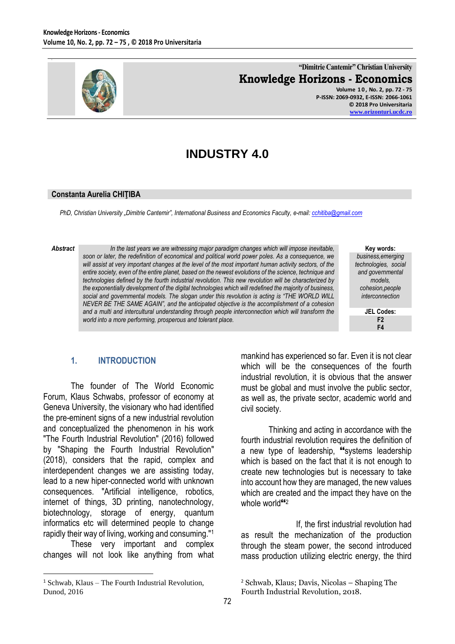

## **"Dimitrie Cantemir" Christian University Knowledge Horizons - Economics**

**Volume 1 0 , No. 2, pp. 72 - 75 P-ISSN: 2069-0932, E-ISSN: 2066-1061 © 2018 Pro Universitaria [www.orizonturi.ucdc.ro](http://www.orizonturi.ucdc.ro/)**

# **INDUSTRY 4.0**

### **Constanta Aurelia CHIŢIBA**

*PhD, Christian University "Dimitrie Cantemir", International Business and Economics Faculty, e-mail[: cchitiba@gmail.com](mailto:cchitiba@gmail.com)*

*Abstract In the last years we are witnessing major paradigm changes which will impose inevitable, soon or later, the redefinition of economical and political world power poles. As a consequence, we will assist at very important changes at the level of the most important human activity sectors, of the entire society, even of the entire planet, based on the newest evolutions of the science, technique and technologies defined by the fourth industrial revolution. This new revolution will be characterized by the exponentially development of the digital technologies which will redefined the majority of business,*  social and governmental models. The slogan under this revolution is acting is "THE WORLD WILL *NEVER BE THE SAME AGAIN", and the anticipated objective is the accomplishment of a cohesion and a multi and intercultural understanding through people interconnection which will transform the world into a more performing, prosperous and tolerant place.*

**Key words:** *business,emerging technologies, social and governmental models, cohesion,people interconnection*

> **JEL Codes: F2 F4**

### **1. INTRODUCTION**

The founder of The World Economic Forum, Klaus Schwabs, professor of economy at Geneva University, the visionary who had identified the pre-eminent signs of a new industrial revolution and conceptualized the phenomenon in his work ″The Fourth Industrial Revolution″ (2016) followed by ″Shaping the Fourth Industrial Revolution″ (2018), considers that the rapid, complex and interdependent changes we are assisting today, lead to a new hiper-connected world with unknown consequences. ″Artificial intelligence, robotics, internet of things, 3D printing, nanotechnology, biotechnology, storage of energy, quantum informatics etc will determined people to change rapidly their way of living, working and consuming.″<sup>1</sup>

These very important and complex changes will not look like anything from what

 $\overline{a}$ 

mankind has experienced so far. Even it is not clear which will be the consequences of the fourth industrial revolution, it is obvious that the answer must be global and must involve the public sector, as well as, the private sector, academic world and civil society.

Thinking and acting in accordance with the fourth industrial revolution requires the definition of a new type of leadership, "systems leadership which is based on the fact that it is not enough to create new technologies but is necessary to take into account how they are managed, the new values which are created and the impact they have on the whole world<sup>"2</sup>

If, the first industrial revolution had as result the mechanization of the production through the steam power, the second introduced mass production utilizing electric energy, the third

 $1$  Schwab, Klaus – The Fourth Industrial Revolution, Dunod, 2016

<sup>2</sup> Schwab, Klaus; Davis, Nicolas – Shaping The Fourth Industrial Revolution, 2018.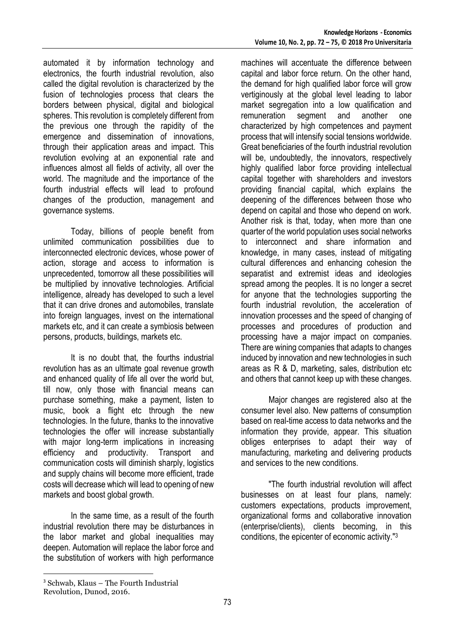automated it by information technology and electronics, the fourth industrial revolution, also called the digital revolution is characterized by the fusion of technologies process that clears the borders between physical, digital and biological spheres. This revolution is completely different from the previous one through the rapidity of the emergence and dissemination of innovations, through their application areas and impact. This revolution evolving at an exponential rate and influences almost all fields of activity, all over the world. The magnitude and the importance of the fourth industrial effects will lead to profound changes of the production, management and governance systems.

Today, billions of people benefit from unlimited communication possibilities due to interconnected electronic devices, whose power of action, storage and access to information is unprecedented, tomorrow all these possibilities will be multiplied by innovative technologies. Artificial intelligence, already has developed to such a level that it can drive drones and automobiles, translate into foreign languages, invest on the international markets etc, and it can create a symbiosis between persons, products, buildings, markets etc.

It is no doubt that, the fourths industrial revolution has as an ultimate goal revenue growth and enhanced quality of life all over the world but, till now, only those with financial means can purchase something, make a payment, listen to music, book a flight etc through the new technologies. In the future, thanks to the innovative technologies the offer will increase substantially with major long-term implications in increasing efficiency and productivity. Transport and communication costs will diminish sharply, logistics and supply chains will become more efficient, trade costs will decrease which will lead to opening of new markets and boost global growth.

In the same time, as a result of the fourth industrial revolution there may be disturbances in the labor market and global inequalities may deepen. Automation will replace the labor force and the substitution of workers with high performance

machines will accentuate the difference between capital and labor force return. On the other hand, the demand for high qualified labor force will grow vertiginously at the global level leading to labor market segregation into a low qualification and remuneration segment and another one characterized by high competences and payment process that will intensify social tensions worldwide. Great beneficiaries of the fourth industrial revolution will be, undoubtedly, the innovators, respectively highly qualified labor force providing intellectual capital together with shareholders and investors providing financial capital, which explains the deepening of the differences between those who depend on capital and those who depend on work. Another risk is that, today, when more than one quarter of the world population uses social networks to interconnect and share information and knowledge, in many cases, instead of mitigating cultural differences and enhancing cohesion the separatist and extremist ideas and ideologies spread among the peoples. It is no longer a secret for anyone that the technologies supporting the fourth industrial revolution, the acceleration of innovation processes and the speed of changing of processes and procedures of production and processing have a major impact on companies. There are wining companies that adapts to changes induced by innovation and new technologies in such areas as R & D, marketing, sales, distribution etc and others that cannot keep up with these changes.

Major changes are registered also at the consumer level also. New patterns of consumption based on real-time access to data networks and the information they provide, appear. This situation obliges enterprises to adapt their way of manufacturing, marketing and delivering products and services to the new conditions.

"The fourth industrial revolution will affect businesses on at least four plans, namely: customers expectations, products improvement, organizational forms and collaborative innovation (enterprise/clients), clients becoming, in this conditions, the epicenter of economic activity."3

 $\overline{a}$ 

<sup>3</sup> Schwab, Klaus – The Fourth Industrial Revolution, Dunod, 2016.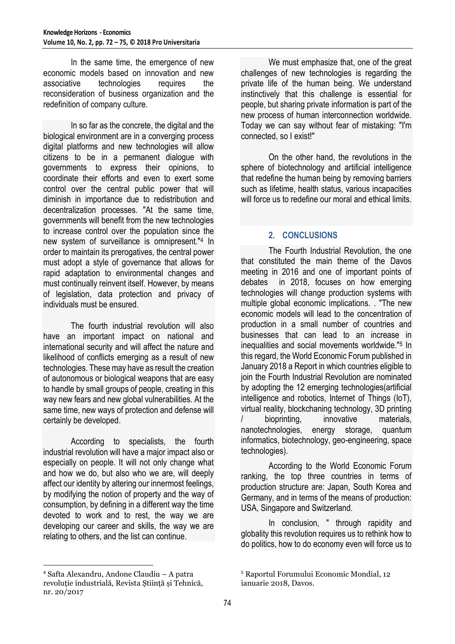In the same time, the emergence of new economic models based on innovation and new associative technologies requires the reconsideration of business organization and the redefinition of company culture.

In so far as the concrete, the digital and the biological environment are in a converging process digital platforms and new technologies will allow citizens to be in a permanent dialogue with governments to express their opinions, to coordinate their efforts and even to exert some control over the central public power that will diminish in importance due to redistribution and decentralization processes. "At the same time, governments will benefit from the new technologies to increase control over the population since the new system of surveillance is omnipresent."<sup>4</sup> In order to maintain its prerogatives, the central power must adopt a style of governance that allows for rapid adaptation to environmental changes and must continually reinvent itself. However, by means of legislation, data protection and privacy of individuals must be ensured.

The fourth industrial revolution will also have an important impact on national and international security and will affect the nature and likelihood of conflicts emerging as a result of new technologies. These may have as result the creation of autonomous or biological weapons that are easy to handle by small groups of people, creating in this way new fears and new global vulnerabilities. At the same time, new ways of protection and defense will certainly be developed.

According to specialists, the fourth industrial revolution will have a major impact also or especially on people. It will not only change what and how we do, but also who we are, will deeply affect our identity by altering our innermost feelings, by modifying the notion of property and the way of consumption, by defining in a different way the time devoted to work and to rest, the way we are developing our career and skills, the way we are relating to others, and the list can continue.

<sup>4</sup> Safta Alexandru, Andone Claudiu – A patra revoluție industrială, Revista Știință și Tehnică, nr. 20/2017

 $\overline{a}$ 

We must emphasize that, one of the great challenges of new technologies is regarding the private life of the human being. We understand instinctively that this challenge is essential for people, but sharing private information is part of the new process of human interconnection worldwide. Today we can say without fear of mistaking: "I'm connected, so I exist!"

On the other hand, the revolutions in the sphere of biotechnology and artificial intelligence that redefine the human being by removing barriers such as lifetime, health status, various incapacities will force us to redefine our moral and ethical limits.

### **2. CONCLUSIONS**

The Fourth Industrial Revolution, the one that constituted the main theme of the Davos meeting in 2016 and one of important points of debates in 2018, focuses on how emerging technologies will change production systems with multiple global economic implications. . "The new economic models will lead to the concentration of production in a small number of countries and businesses that can lead to an increase in inequalities and social movements worldwide."<sup>5</sup> In this regard, the World Economic Forum published in January 2018 a Report in which countries eligible to join the Fourth Industrial Revolution are nominated by adopting the 12 emerging technologies(artificial intelligence and robotics, Internet of Things (IoT), virtual reality, blockchaning technology, 3D printing bioprinting, innovative materials, nanotechnologies, energy storage, quantum informatics, biotechnology, geo-engineering, space technologies).

According to the World Economic Forum ranking, the top three countries in terms of production structure are: Japan, South Korea and Germany, and in terms of the means of production: USA, Singapore and Switzerland.

In conclusion, " through rapidity and globality this revolution requires us to rethink how to do politics, how to do economy even will force us to

<sup>5</sup> Raportul Forumului Economic Mondial, 12 ianuarie 2018, Davos.